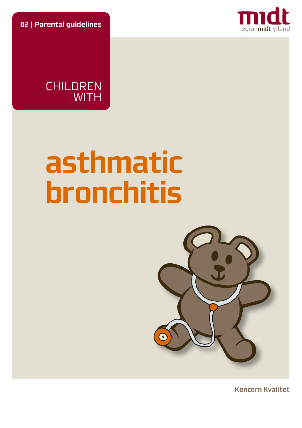**02** | **Parental guidelines**





# **asthmatic bronchitis**



**Koncern Kvalitet**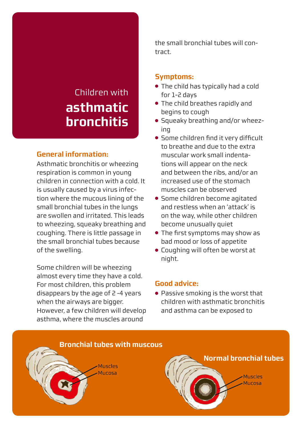# Children with **asthmatic bronchitis**

# **General information:**

Asthmatic bronchitis or wheezing respiration is common in young children in connection with a cold. It is usually caused by a virus infection where the mucous lining of the small bronchial tubes in the lungs are swollen and irritated. This leads to wheezing, squeaky breathing and coughing. There is little passage in the small bronchial tubes because of the swelling.

Some children will be wheezing almost every time they have a cold. For most children, this problem disappears by the age of 2 -4 years when the airways are bigger. However, a few children will develop asthma, where the muscles around

the small bronchial tubes will contract.

#### **Symptoms:**

- The child has typically had a cold for 1-2 days
- The child breathes rapidly and begins to cough
- Squeaky breathing and/or wheezing
- Some children find it very difficult to breathe and due to the extra muscular work small indentations will appear on the neck and between the ribs, and/or an increased use of the stomach muscles can be observed
- Some children become agitated and restless when an 'attack' is on the way, while other children become unusually quiet
- The first symptoms may show as bad mood or loss of appetite
- Coughing will often be worst at night.

#### **Good advice:**

● Passive smoking is the worst that children with asthmatic bronchitis and asthma can be exposed to

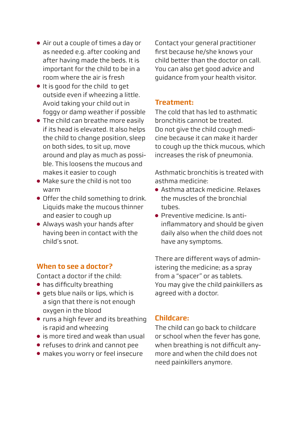- Air out a couple of times a day or as needed e.g. after cooking and after having made the beds. It is important for the child to be in a room where the air is fresh
- It is good for the child to get outside even if wheezing a little. Avoid taking your child out in foggy or damp weather if possible
- The child can breathe more easily if its head is elevated. It also helps the child to change position, sleep on both sides, to sit up, move around and play as much as possible. This loosens the mucous and makes it easier to cough
- Make sure the child is not too warm
- Offer the child something to drink. Liquids make the mucous thinner and easier to cough up
- Always wash your hands after having been in contact with the child's snot.

### **When to see a doctor?**

Contact a doctor if the child:

- has difficulty breathing
- gets blue nails or lips, which is a sign that there is not enough oxygen in the blood
- runs a high fever and its breathing is rapid and wheezing
- is more tired and weak than usual
- refuses to drink and cannot pee
- makes you worry or feel insecure

Contact your general practitioner first because he/she knows your child better than the doctor on call. You can also get good advice and guidance from your health visitor.

# **Treatment:**

The cold that has led to asthmatic bronchitis cannot be treated. Do not give the child cough medicine because it can make it harder to cough up the thick mucous, which increases the risk of pneumonia.

Asthmatic bronchitis is treated with asthma medicine:

- Asthma attack medicine. Relaxes the muscles of the bronchial tubes.
- Preventive medicine. Is antiinflammatory and should be given daily also when the child does not have any symptoms.

There are different ways of administering the medicine; as a spray from a "spacer" or as tablets. You may give the child painkillers as agreed with a doctor.

# **Childcare:**

The child can go back to childcare or school when the fever has gone, when breathing is not difficult anymore and when the child does not need painkillers anymore.